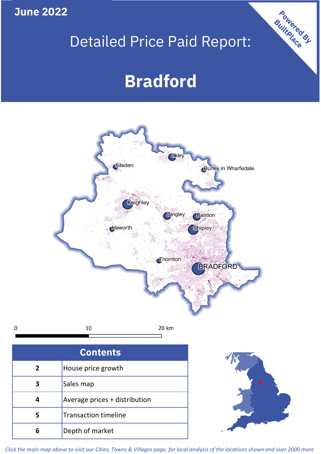**June 2022**

**5**

**4**

 $\mathbf 0$ 

## Detailed Price Paid Report:

Powered By

# **Bradford**



*Click the main map above to visit our Cities, Towns & Villages page, for local analysis of the locations shown and over 2000 more*

Average prices + distribution

Transaction timeline

**6** Depth of market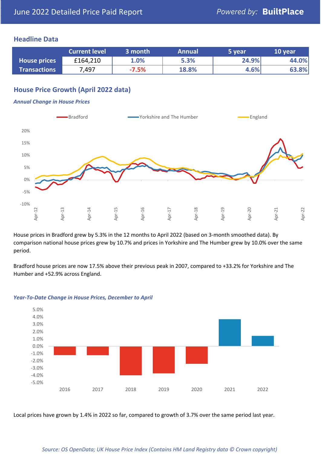### **Headline Data**

|                     | <b>Current level</b> | 3 month | <b>Annual</b> | 5 year | 10 year |
|---------------------|----------------------|---------|---------------|--------|---------|
| <b>House prices</b> | £164,210             | 1.0%    | 5.3%          | 24.9%  | 44.0%   |
| <b>Transactions</b> | 7,497                | $-7.5%$ | 18.8%         | 4.6%   | 63.8%   |

## **House Price Growth (April 2022 data)**

#### *Annual Change in House Prices*



House prices in Bradford grew by 5.3% in the 12 months to April 2022 (based on 3-month smoothed data). By comparison national house prices grew by 10.7% and prices in Yorkshire and The Humber grew by 10.0% over the same period.

Bradford house prices are now 17.5% above their previous peak in 2007, compared to +33.2% for Yorkshire and The Humber and +52.9% across England.



#### *Year-To-Date Change in House Prices, December to April*

Local prices have grown by 1.4% in 2022 so far, compared to growth of 3.7% over the same period last year.

#### *Source: OS OpenData; UK House Price Index (Contains HM Land Registry data © Crown copyright)*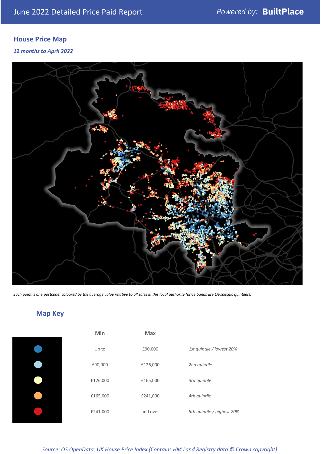## **House Price Map**

*12 months to April 2022*



*Each point is one postcode, coloured by the average value relative to all sales in this local authority (price bands are LA-specific quintiles).*

## **Map Key**

| Min      | Max      |                            |
|----------|----------|----------------------------|
| Up to    | £90,000  | 1st quintile / lowest 20%  |
| £90,000  | £126,000 | 2nd quintile               |
| £126,000 | £165,000 | 3rd quintile               |
| £165,000 | £241,000 | 4th quintile               |
| £241,000 | and over | 5th quintile / highest 20% |

*Source: OS OpenData; UK House Price Index (Contains HM Land Registry data © Crown copyright)*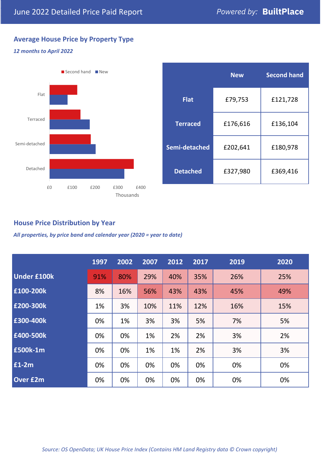## **Average House Price by Property Type**

#### *12 months to April 2022*



|                 | <b>New</b> | <b>Second hand</b> |  |  |
|-----------------|------------|--------------------|--|--|
| <b>Flat</b>     | £79,753    | £121,728           |  |  |
| <b>Terraced</b> | £176,616   | £136,104           |  |  |
| Semi-detached   | £202,641   | £180,978           |  |  |
| <b>Detached</b> | £327,980   | £369,416           |  |  |

## **House Price Distribution by Year**

*All properties, by price band and calendar year (2020 = year to date)*

|                    | 1997 | 2002 | 2007 | 2012 | 2017 | 2019 | 2020 |
|--------------------|------|------|------|------|------|------|------|
| <b>Under £100k</b> | 91%  | 80%  | 29%  | 40%  | 35%  | 26%  | 25%  |
| £100-200k          | 8%   | 16%  | 56%  | 43%  | 43%  | 45%  | 49%  |
| E200-300k          | 1%   | 3%   | 10%  | 11%  | 12%  | 16%  | 15%  |
| £300-400k          | 0%   | 1%   | 3%   | 3%   | 5%   | 7%   | 5%   |
| £400-500k          | 0%   | 0%   | 1%   | 2%   | 2%   | 3%   | 2%   |
| <b>£500k-1m</b>    | 0%   | 0%   | 1%   | 1%   | 2%   | 3%   | 3%   |
| £1-2m              | 0%   | 0%   | 0%   | 0%   | 0%   | 0%   | 0%   |
| <b>Over £2m</b>    | 0%   | 0%   | 0%   | 0%   | 0%   | 0%   | 0%   |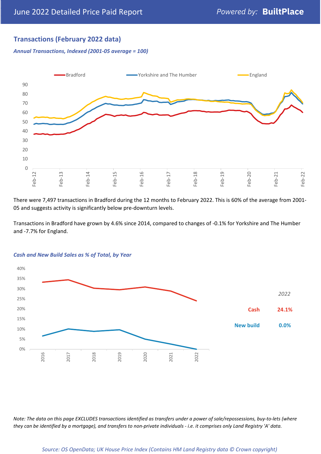## **Transactions (February 2022 data)**

*Annual Transactions, Indexed (2001-05 average = 100)*



There were 7,497 transactions in Bradford during the 12 months to February 2022. This is 60% of the average from 2001- 05 and suggests activity is significantly below pre-downturn levels.

Transactions in Bradford have grown by 4.6% since 2014, compared to changes of -0.1% for Yorkshire and The Humber and -7.7% for England.



#### *Cash and New Build Sales as % of Total, by Year*

*Note: The data on this page EXCLUDES transactions identified as transfers under a power of sale/repossessions, buy-to-lets (where they can be identified by a mortgage), and transfers to non-private individuals - i.e. it comprises only Land Registry 'A' data.*